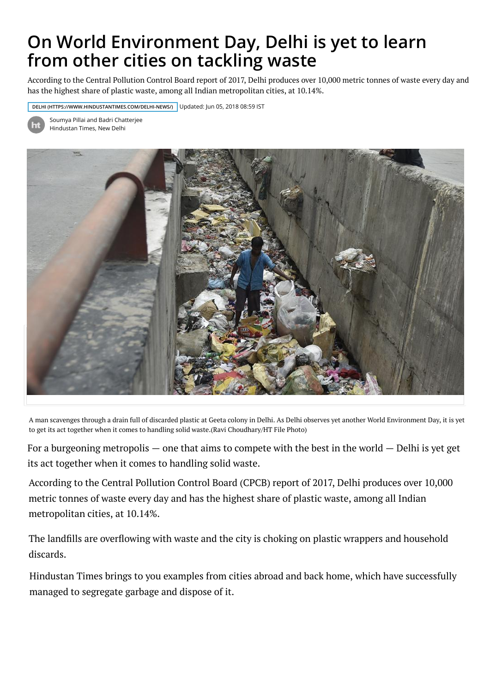## **[On World Environment Day, Delhi is yet to](https://www.hindustantimes.com/) learn from other cities on tackling waste**

According to the Central Pollution Control Board report of 2017, Delhi produces over 10,000 metric tonnes of waste every day and has the highest share of plastic waste, amo[ng all Indian metropolitan cities, at 10.14%.](http://paper.hindustantimes.com/epaper/viewer.aspx)

**[DELHI \(HTTPS://WWW.HINDUSTANTIMES.COM/DELHI-NEWS/\)](https://accounts.hindustantimes.com/)** Updated: Jun 05, 2018 08:59 IST



[Soumya Pillai a](https://www.hindustantimes.com/india-news/)[nd Badri Chatterjee](https://www.hindustantimes.com/world-news/)  Hindustan Times, New Delhi



A man scavenges through a drain full of discarded plastic at Geeta colony in Delhi. As Delhi observes yet another World Environment Day, it is yet to get its act together when it comes to handling solid waste.(Ravi Choudhary/HT File Photo)

For a burgeoning metropolis  $-$  one that aims to compete with the best in the world  $-$  Delhi is yet get its act together when it comes to handling solid waste.

According to the Central Pollution Control Board (CPCB) report of 2017, Delhi produces over 10,000 metric tonnes of waste every day and has the highest share of plastic waste, among all Indian metropolitan cities, at 10.14%.

The landfills are overflowing with waste and the city is choking on plastic wrappers and household discards.

Hindustan Times brings to you examples from cities abroad and back home, which have successfully managed to segregate garbage and dispose of it.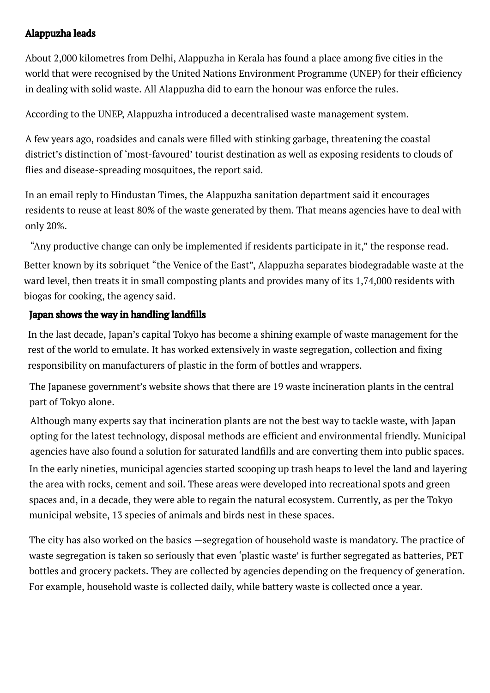## Alappuzha leads

About 2,000 kilometres from Delhi, Alappuzha in Kerala has found a place among five cities in the world that were recognised by the United Nations Environment Programme (UNEP) for their efficiency in dealing with solid waste. All Alappuzha did to earn the honour was enforce the rules.

According to the UNEP, Alappuzha introduced a decentralised waste management system.

A few years ago, roadsides and canals were filled with stinking garbage, threatening the coastal district's distinction of 'most-favoured' tourist destination as well as exposing residents to clouds of flies and disease-spreading mosquitoes, the report said.

In an email reply to Hindustan Times, the Alappuzha sanitation department said it encourages residents to reuse at least 80% of the waste generated by them. That means agencies have to deal with only 20%.

"Any productive change can only be implemented if residents participate in it," the response read.

Better known by its sobriquet "the Venice of the East", Alappuzha separates biodegradable waste at the ward level, then treats it in small composting plants and provides many of its 1,74,000 residents with biogas for cooking, the agency said.

## Japan shows the way in handling landfills

In the last decade, Japan's capital Tokyo has become a shining example of waste management for the rest of the world to emulate. It has worked extensively in waste segregation, collection and fixing responsibility on manufacturers of plastic in the form of bottles and wrappers.

The Japanese government's website shows that there are 19 waste incineration plants in the central part of Tokyo alone.

Although many experts say that incineration plants are not the best way to tackle waste, with Japan opting for the latest technology, disposal methods are efficient and environmental friendly. Municipal agencies have also found a solution for saturated landfills and are converting them into public spaces. In the early nineties, municipal agencies started scooping up trash heaps to level the land and layering the area with rocks, cement and soil. These areas were developed into recreational spots and green spaces and, in a decade, they were able to regain the natural ecosystem. Currently, as per the Tokyo municipal website, 13 species of animals and birds nest in these spaces.

The city has also worked on the basics —segregation of household waste is mandatory. The practice of waste segregation is taken so seriously that even 'plastic waste' is further segregated as batteries, PET bottles and grocery packets. They are collected by agencies depending on the frequency of generation. For example, household waste is collected daily, while battery waste is collected once a year.